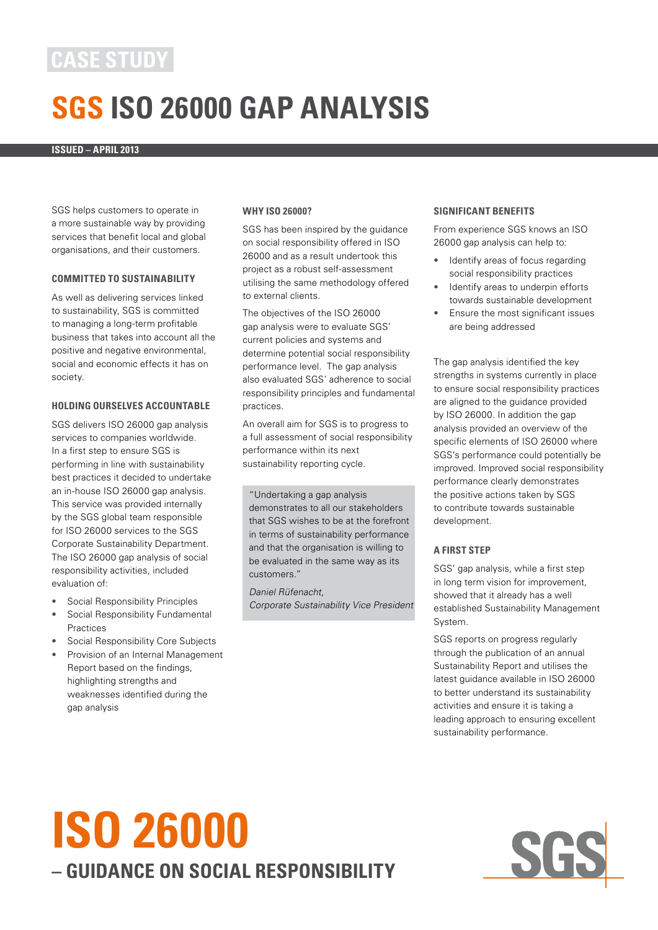### **Case Study**

## **SGS ISO 26000 GAP ANALYSIS**

**ISSUED – APRIL 2013** 

SGS helps customers to operate in a more sustainable way by providing services that benefit local and global organisations, and their customers.

#### **COMMITTED TO SUSTAINABILITY**

As well as delivering services linked to sustainability, SGS is committed to managing a long-term profitable business that takes into account all the positive and negative environmental, social and economic effects it has on society.

#### **HOLDING OURSELVES ACCOUNTABLE**

SGS delivers ISO 26000 gap analysis services to companies worldwide. In a first step to ensure SGS is performing in line with sustainability best practices it decided to undertake an in-house ISO 26000 gap analysis. This service was provided internally by the SGS global team responsible for ISO 26000 services to the SGS Corporate Sustainability Department. The ISO 26000 gap analysis of social responsibility activities, included evaluation of:

- Social Responsibility Principles
- Social Responsibility Fundamental Practices
- Social Responsibility Core Subjects
- Provision of an Internal Management Report based on the findings, highlighting strengths and weaknesses identified during the gap analysis

#### **WHY ISO 26000?**

SGS has been inspired by the guidance on social responsibility offered in ISO 26000 and as a result undertook this project as a robust self-assessment utilising the same methodology offered to external clients.

The objectives of the ISO 26000 gap analysis were to evaluate SGS' current policies and systems and determine potential social responsibility performance level. The gap analysis also evaluated SGS' adherence to social responsibility principles and fundamental practices.

An overall aim for SGS is to progress to a full assessment of social responsibility performance within its next sustainability reporting cycle.

"Undertaking a gap analysis demonstrates to all our stakeholders that SGS wishes to be at the forefront in terms of sustainability performance and that the organisation is willing to be evaluated in the same way as its customers."

Daniel Rüfenacht, Corporate Sustainability Vice President

#### **SIGNIFICANT BENEFITS**

From experience SGS knows an ISO 26000 gap analysis can help to:

- Identify areas of focus regarding social responsibility practices
- Identify areas to underpin efforts towards sustainable development
- Ensure the most significant issues are being addressed

The gap analysis identified the key strengths in systems currently in place to ensure social responsibility practices are aligned to the guidance provided by ISO 26000. In addition the gap analysis provided an overview of the specific elements of ISO 26000 where SGS's performance could potentially be improved. Improved social responsibility performance clearly demonstrates the positive actions taken by SGS to contribute towards sustainable development.

#### **A First Step**

SGS' gap analysis, while a first step in long term vision for improvement, showed that it already has a well established Sustainability Management System.

SGS reports on progress regularly through the publication of an annual Sustainability Report and utilises the latest guidance available in ISO 26000 to better understand its sustainability activities and ensure it is taking a leading approach to ensuring excellent sustainability performance.

# **ISO 26000 – guidance on social responsibility**